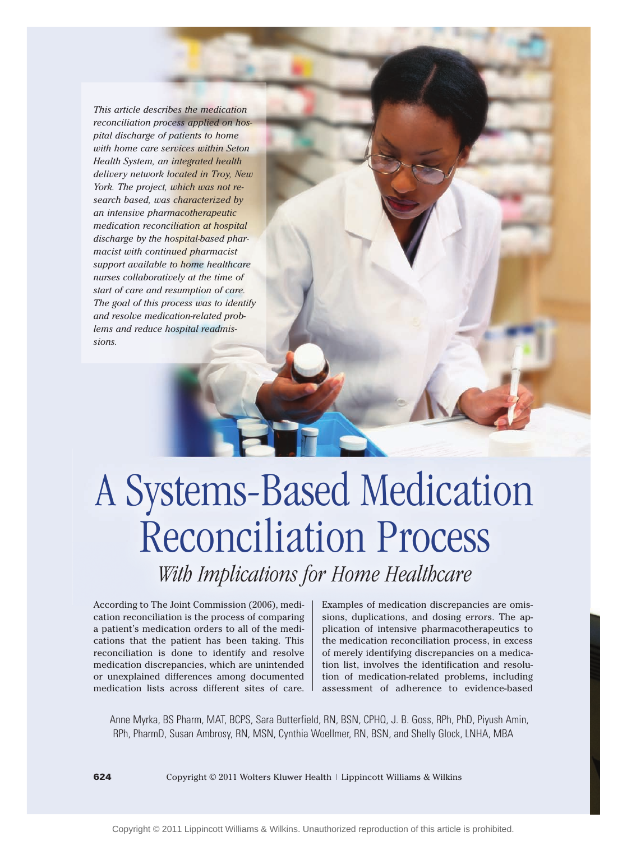*This article describes the medication reconciliation process applied on hospital discharge of patients to home with home care services within Seton Health System, an integrated health delivery network located in Troy, New York. The project, which was not research based, was characterized by an intensive pharmacotherapeutic medication reconciliation at hospital discharge by the hospital-based pharmacist with continued pharmacist support available to home healthcare nurses collaboratively at the time of start of care and resumption of care. The goal of this process was to identify and resolve medication-related problems and reduce hospital readmissions.*

# A Systems-Based Medication Reconciliation Process *With Implications for Home Healthcare*

According to The Joint Commission (2006), medication reconciliation is the process of comparing a patient's medication orders to all of the medications that the patient has been taking. This reconciliation is done to identify and resolve medication discrepancies, which are unintended or unexplained differences among documented medication lists across different sites of care. Examples of medication discrepancies are omissions, duplications, and dosing errors. The application of intensive pharmacotherapeutics to the medication reconciliation process, in excess of merely identifying discrepancies on a medication list, involves the identification and resolution of medication-related problems, including assessment of adherence to evidence-based

Anne Myrka, BS Pharm, MAT, BCPS, Sara Butterfield, RN, BSN, CPHQ, J. B. Goss, RPh, PhD, Piyush Amin, RPh, PharmD, Susan Ambrosy, RN, MSN, Cynthia Woellmer, RN, BSN, and Shelly Glock, LNHA, MBA

**624** Copyright © 2011 Wolters Kluwer Health | Lippincott Williams & Wilkins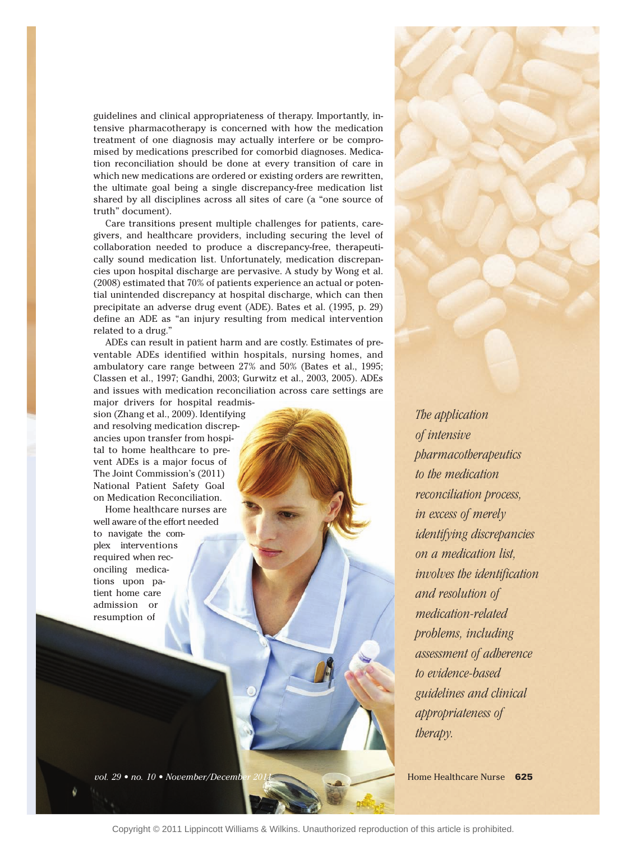guidelines and clinical appropriateness of therapy. Importantly, intensive pharmacotherapy is concerned with how the medication treatment of one diagnosis may actually interfere or be compromised by medications prescribed for comorbid diagnoses. Medication reconciliation should be done at every transition of care in which new medications are ordered or existing orders are rewritten, the ultimate goal being a single discrepancy-free medication list shared by all disciplines across all sites of care (a "one source of truth" document).

Care transitions present multiple challenges for patients, caregivers, and healthcare providers, including securing the level of collaboration needed to produce a discrepancy-free, therapeutically sound medication list. Unfortunately, medication discrepancies upon hospital discharge are pervasive. A study by Wong et al. (2008) estimated that 70% of patients experience an actual or potential unintended discrepancy at hospital discharge, which can then precipitate an adverse drug event (ADE). Bates et al. (1995, p. 29) define an ADE as "an injury resulting from medical intervention related to a drug."

ADEs can result in patient harm and are costly. Estimates of preventable ADEs identified within hospitals, nursing homes, and ambulatory care range between 27% and 50% (Bates et al., 1995; Classen et al., 1997; Gandhi, 2003; Gurwitz et al., 2003, 2005). ADEs and issues with medication reconciliation across care settings are

major drivers for hospital readmission (Zhang et al., 2009). Identifying and resolving medication discrepancies upon transfer from hospital to home healthcare to prevent ADEs is a major focus of The Joint Commission's (2011) National Patient Safety Goal on Medication Reconciliation.

Home healthcare nurses are well aware of the effort needed to navigate the complex interventions required when reconciling medications upon patient home care admission or resumption of

*The application of intensive pharmacotherapeutics to the medication reconciliation process, in excess of merely identifying discrepancies on a medication list, involves the identification and resolution of medication-related problems, including assessment of adherence to evidence-based guidelines and clinical appropriateness of therapy.*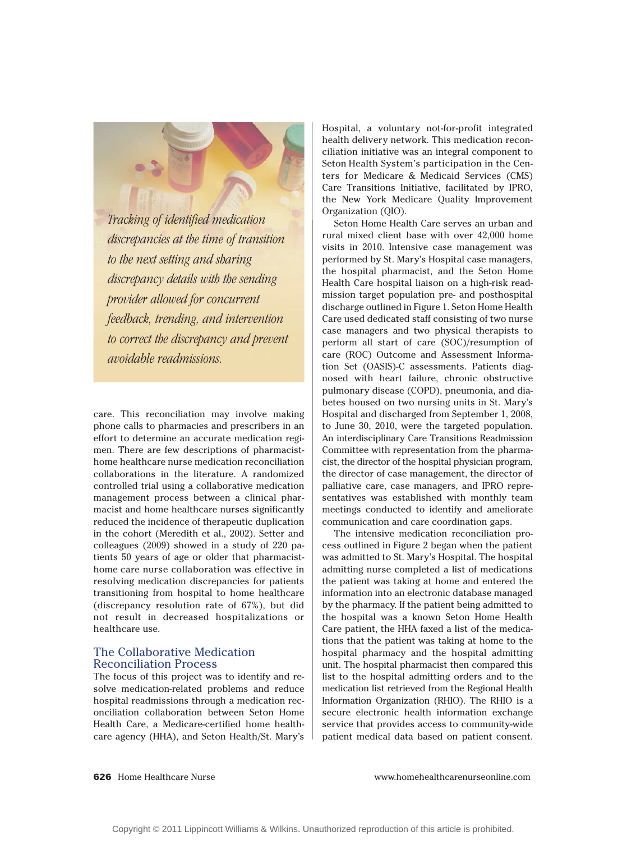

*to correct the discrepancy and prevent avoidable readmissions.*

care. This reconciliation may involve making phone calls to pharmacies and prescribers in an effort to determine an accurate medication regimen. There are few descriptions of pharmacisthome healthcare nurse medication reconciliation collaborations in the literature. A randomized controlled trial using a collaborative medication management process between a clinical pharmacist and home healthcare nurses significantly reduced the incidence of therapeutic duplication in the cohort (Meredith et al., 2002). Setter and colleagues (2009) showed in a study of 220 patients 50 years of age or older that pharmacisthome care nurse collaboration was effective in resolving medication discrepancies for patients transitioning from hospital to home healthcare (discrepancy resolution rate of 67%), but did not result in decreased hospitalizations or healthcare use.

# The Collaborative Medication Reconciliation Process

The focus of this project was to identify and resolve medication-related problems and reduce hospital readmissions through a medication reconciliation collaboration between Seton Home Health Care, a Medicare-certified home healthcare agency (HHA), and Seton Health/St. Mary's

Hospital, a voluntary not-for-profit integrated health delivery network. This medication reconciliation initiative was an integral component to Seton Health System's participation in the Centers for Medicare & Medicaid Services (CMS) Care Transitions Initiative, facilitated by IPRO, the New York Medicare Quality Improvement Organization (QIO).

Seton Home Health Care serves an urban and rural mixed client base with over 42,000 home visits in 2010. Intensive case management was performed by St. Mary's Hospital case managers, the hospital pharmacist, and the Seton Home Health Care hospital liaison on a high-risk readmission target population pre- and posthospital discharge outlined in Figure 1. Seton Home Health Care used dedicated staff consisting of two nurse case managers and two physical therapists to perform all start of care (SOC)/resumption of care (ROC) Outcome and Assessment Information Set (OASIS)-C assessments. Patients diagnosed with heart failure, chronic obstructive pulmonary disease (COPD), pneumonia, and diabetes housed on two nursing units in St. Mary's Hospital and discharged from September 1, 2008, to June 30, 2010, were the targeted population. An interdisciplinary Care Transitions Readmission Committee with representation from the pharmacist, the director of the hospital physician program, the director of case management, the director of palliative care, case managers, and IPRO representatives was established with monthly team meetings conducted to identify and ameliorate communication and care coordination gaps.

The intensive medication reconciliation process outlined in Figure 2 began when the patient was admitted to St. Mary's Hospital. The hospital admitting nurse completed a list of medications the patient was taking at home and entered the information into an electronic database managed by the pharmacy. If the patient being admitted to the hospital was a known Seton Home Health Care patient, the HHA faxed a list of the medications that the patient was taking at home to the hospital pharmacy and the hospital admitting unit. The hospital pharmacist then compared this list to the hospital admitting orders and to the medication list retrieved from the Regional Health Information Organization (RHIO). The RHIO is a secure electronic health information exchange service that provides access to community-wide patient medical data based on patient consent.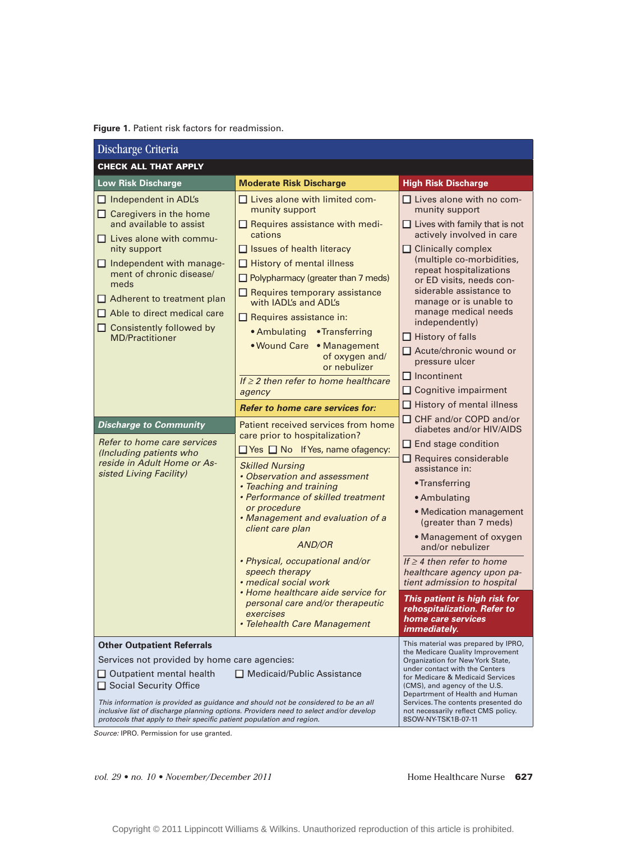**Figure 1.** Patient risk factors for readmission.

| Discharge Criteria                                                                                                                                                                                                                                                                                                                                                                                       |                                                                                                                                                                                                                                                                                                                                                                                                |                                                                                                                                                                                                                                                                                                                                         |  |  |  |  |
|----------------------------------------------------------------------------------------------------------------------------------------------------------------------------------------------------------------------------------------------------------------------------------------------------------------------------------------------------------------------------------------------------------|------------------------------------------------------------------------------------------------------------------------------------------------------------------------------------------------------------------------------------------------------------------------------------------------------------------------------------------------------------------------------------------------|-----------------------------------------------------------------------------------------------------------------------------------------------------------------------------------------------------------------------------------------------------------------------------------------------------------------------------------------|--|--|--|--|
| <b>CHECK ALL THAT APPLY</b>                                                                                                                                                                                                                                                                                                                                                                              |                                                                                                                                                                                                                                                                                                                                                                                                |                                                                                                                                                                                                                                                                                                                                         |  |  |  |  |
| <b>Low Risk Discharge</b>                                                                                                                                                                                                                                                                                                                                                                                | <b>Moderate Risk Discharge</b>                                                                                                                                                                                                                                                                                                                                                                 | <b>High Risk Discharge</b>                                                                                                                                                                                                                                                                                                              |  |  |  |  |
| $\Box$ Independent in ADL's<br>$\Box$ Caregivers in the home<br>and available to assist<br>$\Box$ Lives alone with commu-                                                                                                                                                                                                                                                                                | $\Box$ Lives alone with limited com-<br>munity support<br>$\Box$ Requires assistance with medi-<br>cations                                                                                                                                                                                                                                                                                     | $\Box$ Lives alone with no com-<br>munity support<br>$\Box$ Lives with family that is not<br>actively involved in care<br>$\Box$ Clinically complex<br>(multiple co-morbidities,<br>repeat hospitalizations<br>or ED visits, needs con-<br>siderable assistance to<br>manage or is unable to<br>manage medical needs<br>independently)  |  |  |  |  |
| nity support<br>$\Box$ Independent with manage-<br>ment of chronic disease/<br>meds<br>$\Box$ Adherent to treatment plan<br>$\Box$ Able to direct medical care                                                                                                                                                                                                                                           | □ Issues of health literacy<br>$\Box$ History of mental illness<br>$\Box$ Polypharmacy (greater than 7 meds)<br>$\Box$ Requires temporary assistance<br>with IADL's and ADL's<br>$\Box$ Requires assistance in:                                                                                                                                                                                |                                                                                                                                                                                                                                                                                                                                         |  |  |  |  |
| $\Box$ Consistently followed by<br><b>MD/Practitioner</b>                                                                                                                                                                                                                                                                                                                                                | • Ambulating • Transferring<br>• Wound Care • Management<br>of oxygen and/<br>or nebulizer<br>If $\geq$ 2 then refer to home healthcare<br>agency                                                                                                                                                                                                                                              | $\Box$ History of falls<br>$\Box$ Acute/chronic wound or<br>pressure ulcer<br>$\Box$ Incontinent<br>$\Box$ Cognitive impairment                                                                                                                                                                                                         |  |  |  |  |
|                                                                                                                                                                                                                                                                                                                                                                                                          | <b>Refer to home care services for:</b>                                                                                                                                                                                                                                                                                                                                                        | $\Box$ History of mental illness                                                                                                                                                                                                                                                                                                        |  |  |  |  |
| <b>Discharge to Community</b><br>Refer to home care services<br>(Including patients who<br>reside in Adult Home or As-<br>sisted Living Facility)                                                                                                                                                                                                                                                        | Patient received services from home<br>care prior to hospitalization?<br>$\Box$ Yes $\Box$ No If Yes, name of agency:<br><b>Skilled Nursing</b><br>• Observation and assessment<br>• Teaching and training<br>• Performance of skilled treatment<br>or procedure<br>• Management and evaluation of a<br>client care plan<br><b>AND/OR</b><br>• Physical, occupational and/or<br>speech therapy | □ CHF and/or COPD and/or<br>diabetes and/or HIV/AIDS<br>$\Box$ End stage condition<br>$\Box$ Requires considerable<br>assistance in:<br>•Transferring<br>• Ambulating<br>• Medication management<br>(greater than 7 meds)<br>• Management of oxygen<br>and/or nebulizer<br>If $\geq$ 4 then refer to home<br>healthcare agency upon pa- |  |  |  |  |
|                                                                                                                                                                                                                                                                                                                                                                                                          | · medical social work<br>• Home healthcare aide service for<br>personal care and/or therapeutic<br>exercises<br>• Telehealth Care Management                                                                                                                                                                                                                                                   | tient admission to hospital<br>This patient is high risk for<br>rehospitalization. Refer to<br>home care services<br><i>immediately.</i>                                                                                                                                                                                                |  |  |  |  |
| <b>Other Outpatient Referrals</b><br>Services not provided by home care agencies:<br>$\Box$ Outpatient mental health<br>□ Social Security Office<br>This information is provided as guidance and should not be considered to be an all<br>inclusive list of discharge planning options. Providers need to select and/or develop<br>protocols that apply to their specific patient population and region. | This material was prepared by IPRO,<br>the Medicare Quality Improvement<br>Organization for New York State,<br>under contact with the Centers<br>for Medicare & Medicaid Services<br>(CMS), and agency of the U.S.<br>Departrment of Health and Human<br>Services. The contents presented do<br>not necessarily reflect CMS policy.<br>8SOW-NY-TSK1B-07-11                                     |                                                                                                                                                                                                                                                                                                                                         |  |  |  |  |

*Source:* IPRO. Permission for use granted.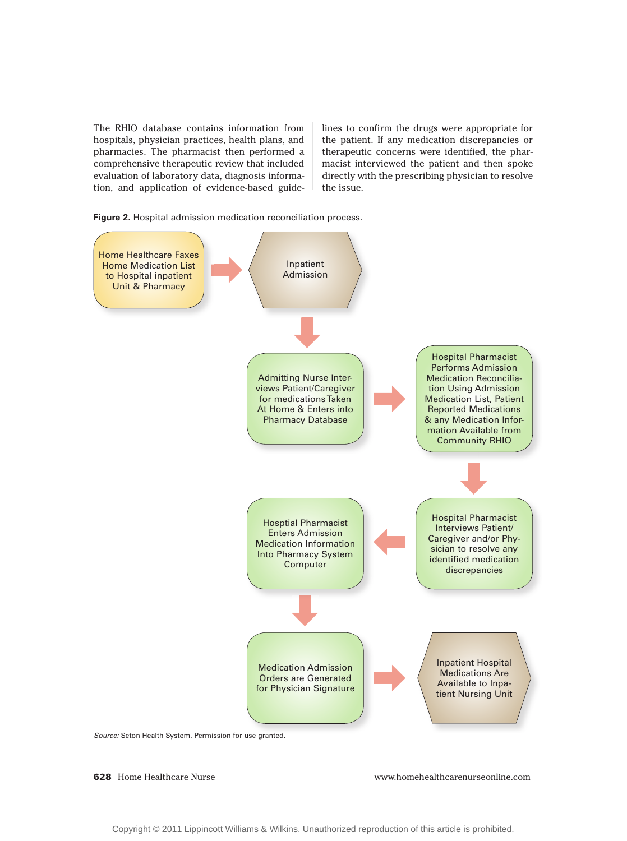The RHIO database contains information from hospitals, physician practices, health plans, and pharmacies. The pharmacist then performed a comprehensive therapeutic review that included evaluation of laboratory data, diagnosis information, and application of evidence-based guidelines to confirm the drugs were appropriate for the patient. If any medication discrepancies or therapeutic concerns were identified, the pharmacist interviewed the patient and then spoke directly with the prescribing physician to resolve the issue.



*Source:* Seton Health System. Permission for use granted.

**628** Home Healthcare Nurse www.homehealthcarenurseonline.com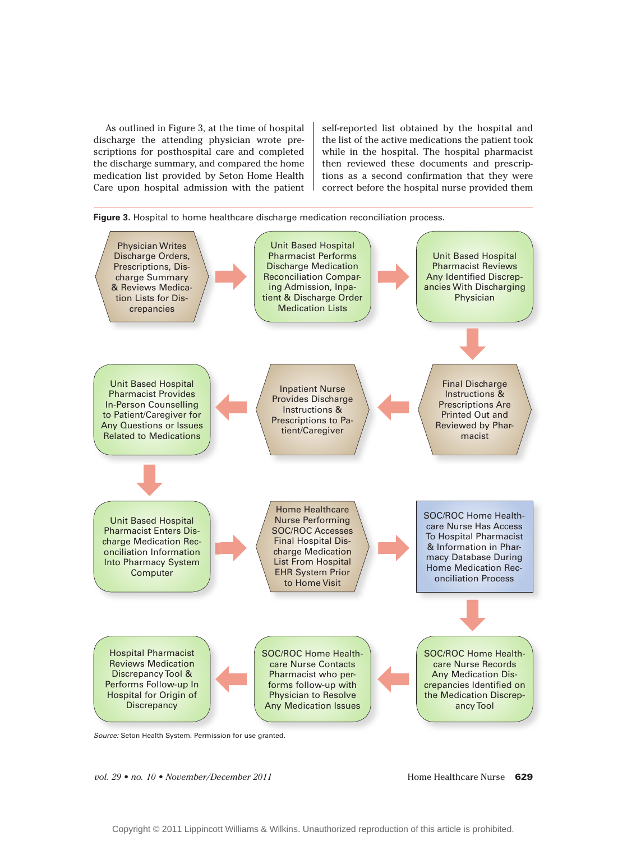As outlined in Figure 3, at the time of hospital discharge the attending physician wrote prescriptions for posthospital care and completed the discharge summary, and compared the home medication list provided by Seton Home Health Care upon hospital admission with the patient self-reported list obtained by the hospital and the list of the active medications the patient took while in the hospital. The hospital pharmacist then reviewed these documents and prescriptions as a second confirmation that they were correct before the hospital nurse provided them



*Source:* Seton Health System. Permission for use granted.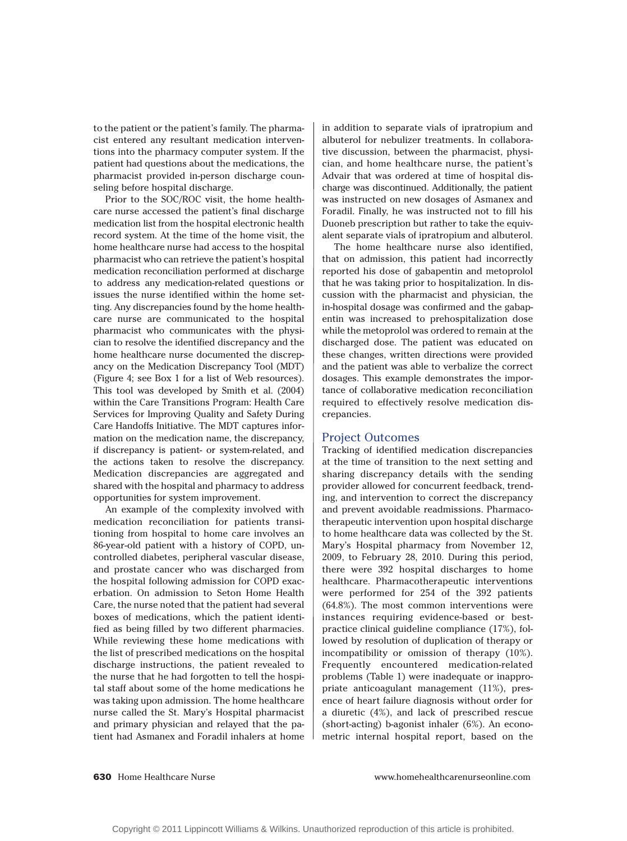to the patient or the patient's family. The pharmacist entered any resultant medication interventions into the pharmacy computer system. If the patient had questions about the medications, the pharmacist provided in-person discharge counseling before hospital discharge.

Prior to the SOC/ROC visit, the home healthcare nurse accessed the patient's final discharge medication list from the hospital electronic health record system. At the time of the home visit, the home healthcare nurse had access to the hospital pharmacist who can retrieve the patient's hospital medication reconciliation performed at discharge to address any medication-related questions or issues the nurse identified within the home setting. Any discrepancies found by the home healthcare nurse are communicated to the hospital pharmacist who communicates with the physician to resolve the identified discrepancy and the home healthcare nurse documented the discrepancy on the Medication Discrepancy Tool (MDT) (Figure 4; see Box 1 for a list of Web resources). This tool was developed by Smith et al. (2004) within the Care Transitions Program: Health Care Services for Improving Quality and Safety During Care Handoffs Initiative. The MDT captures information on the medication name, the discrepancy, if discrepancy is patient- or system-related, and the actions taken to resolve the discrepancy. Medication discrepancies are aggregated and shared with the hospital and pharmacy to address opportunities for system improvement.

An example of the complexity involved with medication reconciliation for patients transitioning from hospital to home care involves an 86-year-old patient with a history of COPD, uncontrolled diabetes, peripheral vascular disease, and prostate cancer who was discharged from the hospital following admission for COPD exacerbation. On admission to Seton Home Health Care, the nurse noted that the patient had several boxes of medications, which the patient identified as being filled by two different pharmacies. While reviewing these home medications with the list of prescribed medications on the hospital discharge instructions, the patient revealed to the nurse that he had forgotten to tell the hospital staff about some of the home medications he was taking upon admission. The home healthcare nurse called the St. Mary's Hospital pharmacist and primary physician and relayed that the patient had Asmanex and Foradil inhalers at home in addition to separate vials of ipratropium and albuterol for nebulizer treatments. In collaborative discussion, between the pharmacist, physician, and home healthcare nurse, the patient's Advair that was ordered at time of hospital discharge was discontinued. Additionally, the patient was instructed on new dosages of Asmanex and Foradil. Finally, he was instructed not to fill his Duoneb prescription but rather to take the equivalent separate vials of ipratropium and albuterol.

The home healthcare nurse also identified, that on admission, this patient had incorrectly reported his dose of gabapentin and metoprolol that he was taking prior to hospitalization. In discussion with the pharmacist and physician, the in-hospital dosage was confirmed and the gabapentin was increased to prehospitalization dose while the metoprolol was ordered to remain at the discharged dose. The patient was educated on these changes, written directions were provided and the patient was able to verbalize the correct dosages. This example demonstrates the importance of collaborative medication reconciliation required to effectively resolve medication discrepancies.

# Project Outcomes

Tracking of identified medication discrepancies at the time of transition to the next setting and sharing discrepancy details with the sending provider allowed for concurrent feedback, trending, and intervention to correct the discrepancy and prevent avoidable readmissions. Pharmacotherapeutic intervention upon hospital discharge to home healthcare data was collected by the St. Mary's Hospital pharmacy from November 12, 2009, to February 28, 2010. During this period, there were 392 hospital discharges to home healthcare. Pharmacotherapeutic interventions were performed for 254 of the 392 patients (64.8%). The most common interventions were instances requiring evidence-based or bestpractice clinical guideline compliance (17%), followed by resolution of duplication of therapy or incompatibility or omission of therapy (10%). Frequently encountered medication-related problems (Table 1) were inadequate or inappropriate anticoagulant management (11%), presence of heart failure diagnosis without order for a diuretic (4%), and lack of prescribed rescue (short-acting) b-agonist inhaler (6%). An econometric internal hospital report, based on the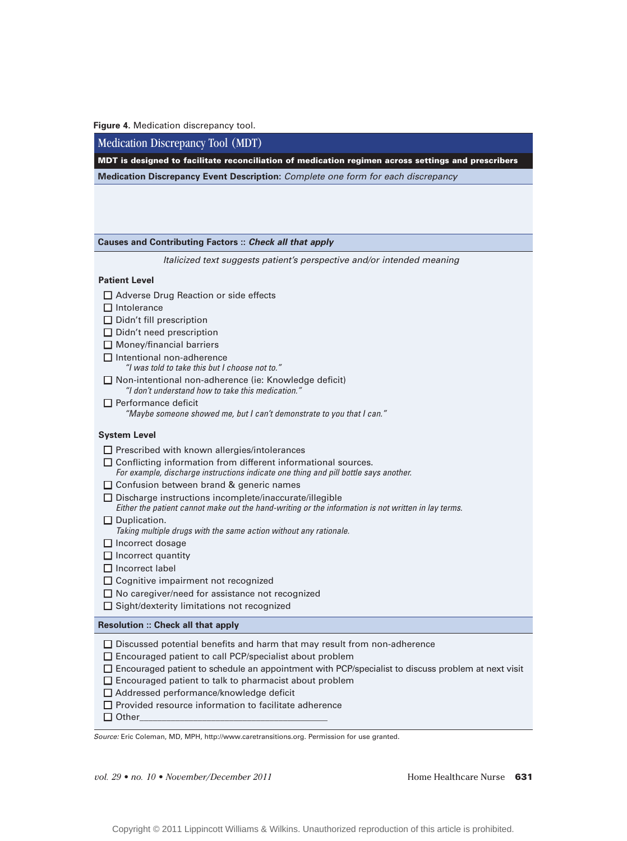**Figure 4.** Medication discrepancy tool.

Medication Discrepancy Tool (MDT)

**MDT is designed to facilitate reconciliation of medication regimen across settings and prescribers**

**Medication Discrepancy Event Description:** *Complete one form for each discrepancy*

**Causes and Contributing Factors ::** *Check all that apply*

*Italicized text suggests patient's perspective and/or intended meaning*

## **Patient Level**

| $\Box$ Adverse Drug Reaction or side effects                                                                      |
|-------------------------------------------------------------------------------------------------------------------|
| $\Box$ Intolerance                                                                                                |
| $\Box$ Didn't fill prescription                                                                                   |
| $\Box$ Didn't need prescription                                                                                   |
| $\Box$ Money/financial barriers                                                                                   |
| $\Box$ Intentional non-adherence<br>"I was told to take this but I choose not to."                                |
| $\Box$ Non-intentional non-adherence (ie: Knowledge deficit)<br>"I don't understand how to take this medication." |
| $\Box$ Performance deficit<br>"Maybe someone showed me, but I can't demonstrate to you that I can."               |

## **System Level**

| $\Box$ Prescribed with known allergies/intolerances |  |  |  |
|-----------------------------------------------------|--|--|--|
|-----------------------------------------------------|--|--|--|

- $\Box$  Conflicting information from different informational sources.
	- *For example, discharge instructions indicate one thing and pill bottle says another.*
- $\Box$  Confusion between brand & generic names
- $\square$  Discharge instructions incomplete/inaccurate/illegible
- *Either the patient cannot make out the hand-writing or the information is not written in lay terms.*
- □ Duplication.
	- *Taking multiple drugs with the same action without any rationale.*
- □ Incorrect dosage
- $\Box$  Incorrect quantity
- □ Incorrect label
- $\Box$  Cognitive impairment not recognized
- $\Box$  No caregiver/need for assistance not recognized
- $\Box$  Sight/dexterity limitations not recognized

**Resolution :: Check all that apply**

- $\square$  Encouraged patient to call PCP/specialist about problem
- $\square$  Encouraged patient to schedule an appointment with PCP/specialist to discuss problem at next visit
- $\square$  Encouraged patient to talk to pharmacist about problem
- $\Box$  Addressed performance/knowledge deficit
- $\Box$  Provided resource information to facilitate adherence
- $\Box$  Other\_

*Source:* Eric Coleman, MD, MPH, http://www.caretransitions.org. Permission for use granted.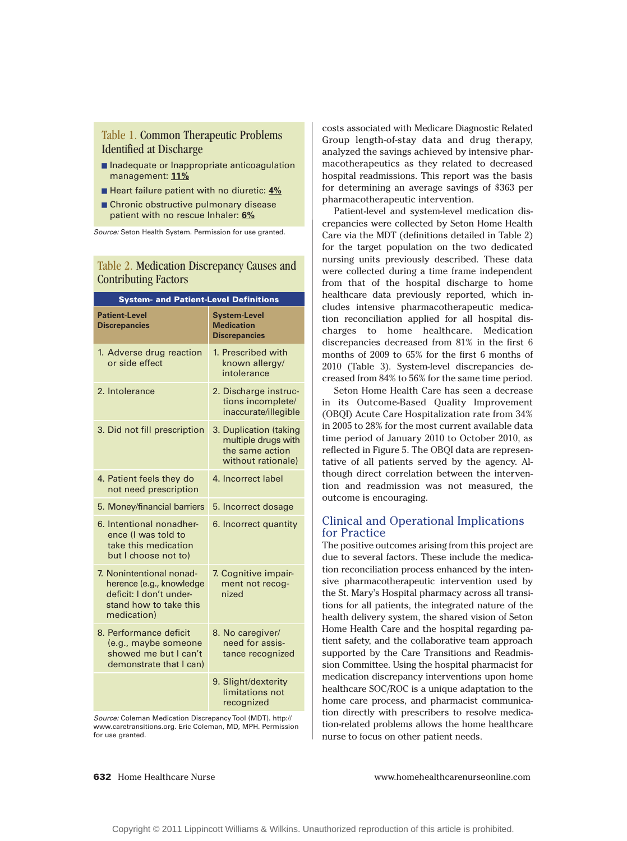# Table 1. Common Therapeutic Problems Identified at Discharge

- Inadequate or Inappropriate anticoagulation management: **11%**
- Heart failure patient with no diuretic:  $4\%$
- Chronic obstructive pulmonary disease patient with no rescue Inhaler: **6%**

*Source:* Seton Health System. Permission for use granted.

# Table 2. Medication Discrepancy Causes and Contributing Factors

| <b>System- and Patient-Level Definitions</b>                                                                             |                                                                                        |  |  |  |
|--------------------------------------------------------------------------------------------------------------------------|----------------------------------------------------------------------------------------|--|--|--|
| <b>Patient-Level</b><br><b>Discrepancies</b>                                                                             | <b>System-Level</b><br><b>Medication</b><br><b>Discrepancies</b>                       |  |  |  |
| 1. Adverse drug reaction<br>or side effect                                                                               | 1. Prescribed with<br>known allergy/<br>intolerance                                    |  |  |  |
| 2. Intolerance                                                                                                           | 2. Discharge instruc-<br>tions incomplete/<br>inaccurate/illegible                     |  |  |  |
| 3. Did not fill prescription                                                                                             | 3. Duplication (taking<br>multiple drugs with<br>the same action<br>without rationale) |  |  |  |
| 4. Patient feels they do<br>not need prescription                                                                        | 4. Incorrect label                                                                     |  |  |  |
| 5. Money/financial barriers                                                                                              | 5. Incorrect dosage                                                                    |  |  |  |
| 6. Intentional nonadher-<br>ence (I was told to<br>take this medication<br>but I choose not to)                          | 6. Incorrect quantity                                                                  |  |  |  |
| 7. Nonintentional nonad-<br>herence (e.g., knowledge<br>deficit: I don't under-<br>stand how to take this<br>medication) | 7. Cognitive impair-<br>ment not recog-<br>nized                                       |  |  |  |
| 8. Performance deficit<br>(e.g., maybe someone<br>showed me but I can't<br>demonstrate that I can)                       | 8. No caregiver/<br>need for assis-<br>tance recognized                                |  |  |  |
|                                                                                                                          | 9. Slight/dexterity<br>limitations not<br>recognized                                   |  |  |  |

*Source:* Coleman Medication Discrepancy Tool (MDT). http:// www.caretransitions.org. Eric Coleman, MD, MPH. Permission for use granted.

costs associated with Medicare Diagnostic Related Group length-of-stay data and drug therapy, analyzed the savings achieved by intensive pharmacotherapeutics as they related to decreased hospital readmissions. This report was the basis for determining an average savings of \$363 per pharmacotherapeutic intervention.

Patient-level and system-level medication discrepancies were collected by Seton Home Health Care via the MDT (definitions detailed in Table 2) for the target population on the two dedicated nursing units previously described. These data were collected during a time frame independent from that of the hospital discharge to home healthcare data previously reported, which includes intensive pharmacotherapeutic medication reconciliation applied for all hospital discharges to home healthcare. Medication discrepancies decreased from 81% in the first 6 months of 2009 to 65% for the first 6 months of 2010 (Table 3). System-level discrepancies decreased from 84% to 56% for the same time period.

Seton Home Health Care has seen a decrease in its Outcome-Based Quality Improvement (OBQI) Acute Care Hospitalization rate from 34% in 2005 to 28% for the most current available data time period of January 2010 to October 2010, as reflected in Figure 5. The OBQI data are representative of all patients served by the agency. Although direct correlation between the intervention and readmission was not measured, the outcome is encouraging.

# Clinical and Operational Implications for Practice

The positive outcomes arising from this project are due to several factors. These include the medication reconciliation process enhanced by the intensive pharmacotherapeutic intervention used by the St. Mary's Hospital pharmacy across all transitions for all patients, the integrated nature of the health delivery system, the shared vision of Seton Home Health Care and the hospital regarding patient safety, and the collaborative team approach supported by the Care Transitions and Readmission Committee. Using the hospital pharmacist for medication discrepancy interventions upon home healthcare SOC/ROC is a unique adaptation to the home care process, and pharmacist communication directly with prescribers to resolve medication-related problems allows the home healthcare nurse to focus on other patient needs.

**632** Home Healthcare Nurse www.homehealthcarenurseonline.com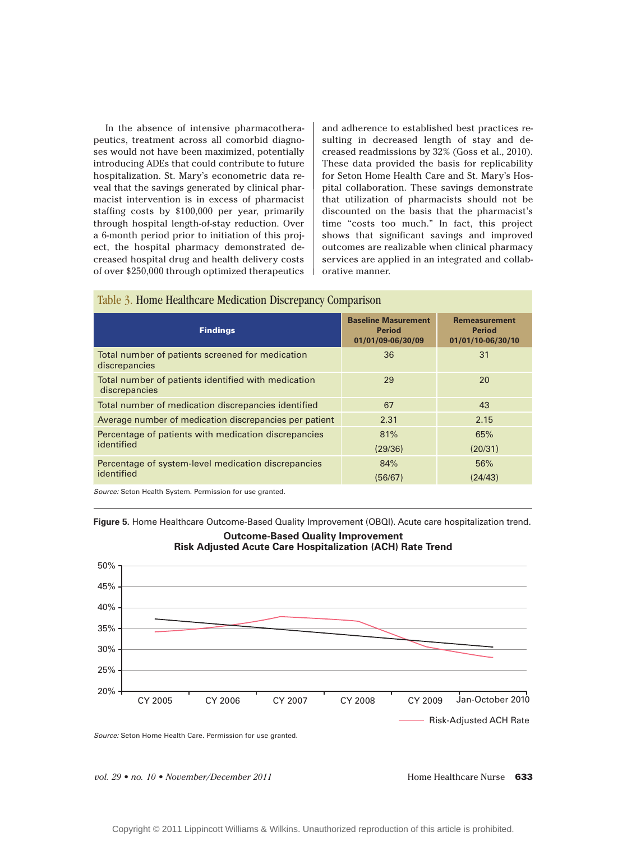In the absence of intensive pharmacotherapeutics, treatment across all comorbid diagnoses would not have been maximized, potentially introducing ADEs that could contribute to future hospitalization. St. Mary's econometric data reveal that the savings generated by clinical pharmacist intervention is in excess of pharmacist staffing costs by \$100,000 per year, primarily through hospital length-of-stay reduction. Over a 6-month period prior to initiation of this project, the hospital pharmacy demonstrated decreased hospital drug and health delivery costs of over \$250,000 through optimized therapeutics

and adherence to established best practices resulting in decreased length of stay and decreased readmissions by 32% (Goss et al., 2010). These data provided the basis for replicability for Seton Home Health Care and St. Mary's Hospital collaboration. These savings demonstrate that utilization of pharmacists should not be discounted on the basis that the pharmacist's time "costs too much." In fact, this project shows that significant savings and improved outcomes are realizable when clinical pharmacy services are applied in an integrated and collaborative manner.

### **Findings Baseline Masurement Period 01/01/09-06/30/09 Remeasurement Period 01/01/10-06/30/10** Total number of patients screened for medication discrepancies 36 31 Total number of patients identified with medication discrepancies 29 20 Total number of medication discrepancies identified 67 67 69 43 Average number of medication discrepancies per patient 2.31 2.15 Percentage of patients with medication discrepancies identified 81% (29/36) 65% (20/31) Percentage of system-level medication discrepancies identified 84% (56/67) 56% (24/43)

# Table 3. Home Healthcare Medication Discrepancy Comparison

*Source:* Seton Health System. Permission for use granted.

**Figure 5.** Home Healthcare Outcome-Based Quality Improvement (OBQI). Acute care hospitalization trend.



# **Outcome-Based Quality Improvement Risk Adjusted Acute Care Hospitalization (ACH) Rate Trend**

*Source:* Seton Home Health Care. Permission for use granted.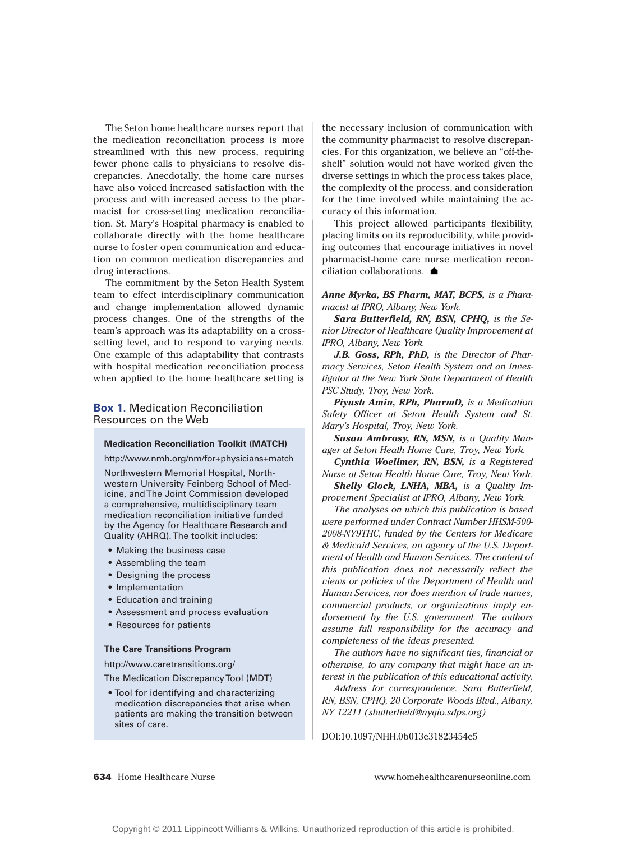The Seton home healthcare nurses report that the medication reconciliation process is more streamlined with this new process, requiring fewer phone calls to physicians to resolve discrepancies. Anecdotally, the home care nurses have also voiced increased satisfaction with the process and with increased access to the pharmacist for cross-setting medication reconciliation. St. Mary's Hospital pharmacy is enabled to collaborate directly with the home healthcare nurse to foster open communication and education on common medication discrepancies and drug interactions.

The commitment by the Seton Health System team to effect interdisciplinary communication and change implementation allowed dynamic process changes. One of the strengths of the team's approach was its adaptability on a crosssetting level, and to respond to varying needs. One example of this adaptability that contrasts with hospital medication reconciliation process when applied to the home healthcare setting is

# **Box 1.** Medication Reconciliation Resources on the Web

### **Medication Reconciliation Toolkit (MATCH)**

http://www.nmh.org/nm/for+physicians+match

Northwestern Memorial Hospital, Northwestern University Feinberg School of Medicine, and The Joint Commission developed a comprehensive, multidisciplinary team medication reconciliation initiative funded by the Agency for Healthcare Research and Quality (AHRQ). The toolkit includes:

- Making the business case
- Assembling the team
- Designing the process
- Implementation
- Education and training
- Assessment and process evaluation
- Resources for patients

### **The Care Transitions Program**

http://www.caretransitions.org/

The Medication Discrepancy Tool (MDT)

 • Tool for identifying and characterizing medication discrepancies that arise when patients are making the transition between sites of care.

the necessary inclusion of communication with the community pharmacist to resolve discrepancies. For this organization, we believe an "off-theshelf" solution would not have worked given the diverse settings in which the process takes place, the complexity of the process, and consideration for the time involved while maintaining the accuracy of this information.

This project allowed participants flexibility, placing limits on its reproducibility, while providing outcomes that encourage initiatives in novel pharmacist-home care nurse medication reconciliation collaborations.

*Anne Myrka, BS Pharm, MAT, BCPS, is a Pharamacist at IPRO, Albany, New York.*

*Sara Butterfield, RN, BSN, CPHQ, is the Senior Director of Healthcare Quality Improvement at IPRO, Albany, New York.*

*J.B. Goss, RPh, PhD, is the Director of Pharmacy Services, Seton Health System and an Investigator at the New York State Department of Health PSC Study, Troy, New York.*

*Piyush Amin, RPh, PharmD, is a Medication Safety Officer at Seton Health System and St. Mary's Hospital, Troy, New York.*

*Susan Ambrosy, RN, MSN, is a Quality Manager at Seton Heath Home Care, Troy, New York.*

*Cynthia Woellmer, RN, BSN, is a Registered Nurse at Seton Health Home Care, Troy, New York. Shelly Glock, LNHA, MBA, is a Quality Im-*

*provement Specialist at IPRO, Albany, New York.*

*The analyses on which this publication is based were performed under Contract Number HHSM-500- 2008-NY9THC, funded by the Centers for Medicare & Medicaid Services, an agency of the U.S. Department of Health and Human Services. The content of this publication does not necessarily reflect the views or policies of the Department of Health and Human Services, nor does mention of trade names, commercial products, or organizations imply endorsement by the U.S. government. The authors assume full responsibility for the accuracy and completeness of the ideas presented.*

*The authors have no significant ties, financial or otherwise, to any company that might have an interest in the publication of this educational activity.*

*Address for correspondence: Sara Butterfield, RN, BSN, CPHQ, 20 Corporate Woods Blvd., Albany, NY 12211 (sbutterfield@nyqio.sdps.org)*

DOI:10.1097/NHH.0b013e31823454e5

**634** Home Healthcare Nurse www.homehealthcarenurseonline.com